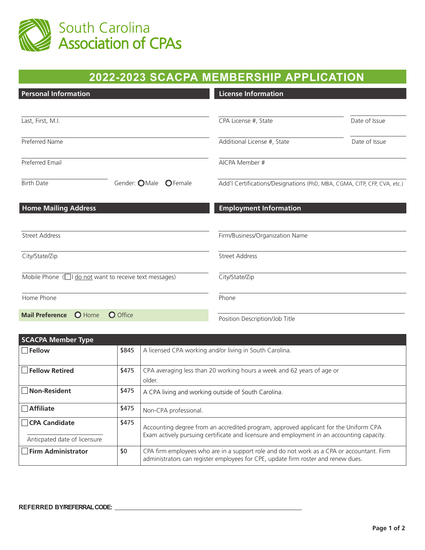

| 2022-2023 SCACPA MEMBERSHIP APPLICATION                     |                                                                          |               |  |
|-------------------------------------------------------------|--------------------------------------------------------------------------|---------------|--|
| <b>Personal Information</b>                                 | <b>License Information</b>                                               |               |  |
| Last, First, M.I.                                           | CPA License #, State                                                     | Date of Issue |  |
| Preferred Name                                              | Additional License #, State                                              | Date of Issue |  |
| Preferred Email                                             | AICPA Member #                                                           |               |  |
| <b>Birth Date</b><br>Gender: OMale<br><b>O</b> Female       | Add'l Certifications/Designations (PhD, MBA, CGMA, CITP, CFP, CVA, etc.) |               |  |
| <b>Home Mailing Address</b>                                 | <b>Employment Information</b>                                            |               |  |
| <b>Street Address</b>                                       | Firm/Business/Organization Name                                          |               |  |
| City/State/Zip                                              | <b>Street Address</b>                                                    |               |  |
| Mobile Phone $(\Box)$ do not want to receive text messages) | City/State/Zip                                                           |               |  |
| Home Phone                                                  | Phone                                                                    |               |  |
| O Home<br><b>Mail Preference</b><br>O Office                | Position Description/Job Title                                           |               |  |

| <b>SCACPA Member Type</b>                     |                                                                                                                                                                                             |                                                                                                                                                                                |  |
|-----------------------------------------------|---------------------------------------------------------------------------------------------------------------------------------------------------------------------------------------------|--------------------------------------------------------------------------------------------------------------------------------------------------------------------------------|--|
| Fellow                                        | \$845                                                                                                                                                                                       | A licensed CPA working and/or living in South Carolina.                                                                                                                        |  |
| $\Box$ Fellow Retired                         | \$475                                                                                                                                                                                       | CPA averaging less than 20 working hours a week and 62 years of age or<br>older.                                                                                               |  |
| Non-Resident                                  | \$475                                                                                                                                                                                       | A CPA living and working outside of South Carolina.                                                                                                                            |  |
| $\Box$ Affiliate                              | \$475                                                                                                                                                                                       | Non-CPA professional.                                                                                                                                                          |  |
| CPA Candidate<br>Anticpated date of licensure | \$475<br>Accounting degree from an accredited program, approved applicant for the Uniform CPA<br>Exam actively pursuing certificate and licensure and employment in an accounting capacity. |                                                                                                                                                                                |  |
| Firm Administrator                            | \$0                                                                                                                                                                                         | CPA firm employees who are in a support role and do not work as a CPA or accountant. Firm<br>administrators can register employees for CPE, update firm roster and renew dues. |  |